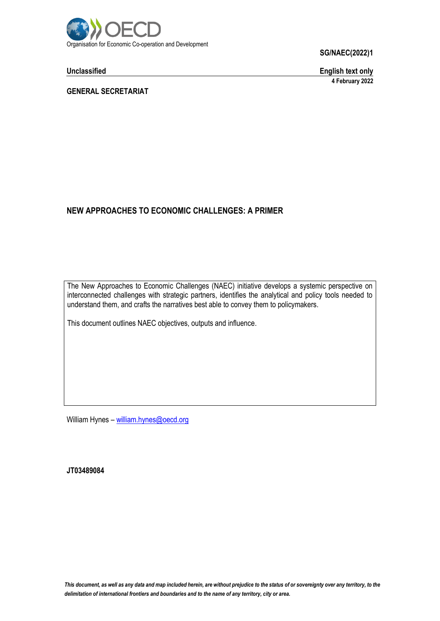

**Unclassified English text only 4 February 2022**

**GENERAL SECRETARIAT**

# **NEW APPROACHES TO ECONOMIC CHALLENGES: A PRIMER**

The New Approaches to Economic Challenges (NAEC) initiative develops a systemic perspective on interconnected challenges with strategic partners, identifies the analytical and policy tools needed to understand them, and crafts the narratives best able to convey them to policymakers.

This document outlines NAEC objectives, outputs and influence.

William Hynes – [william.hynes@oecd.org](mailto:william.hynes@oecd.org)

**JT03489084**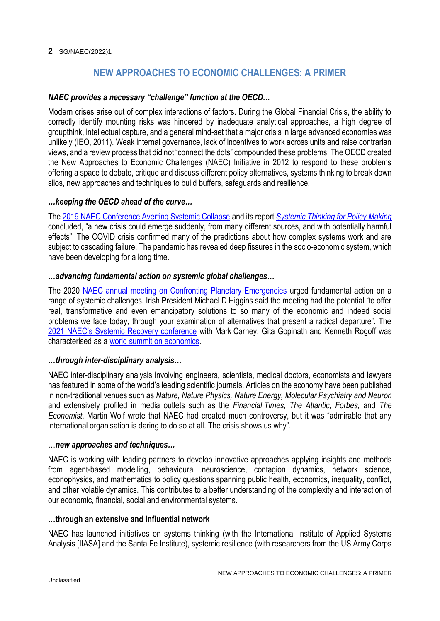# **NEW APPROACHES TO ECONOMIC CHALLENGES: A PRIMER**

## *NAEC provides a necessary "challenge" function at the OECD…*

Modern crises arise out of complex interactions of factors. During the Global Financial Crisis, the ability to correctly identify mounting risks was hindered by inadequate analytical approaches, a high degree of groupthink, intellectual capture, and a general mind-set that a major crisis in large advanced economies was unlikely (IEO, 2011). Weak internal governance, lack of incentives to work across units and raise contrarian views, and a review process that did not "connect the dots" compounded these problems. The OECD created the New Approaches to Economic Challenges (NAEC) Initiative in 2012 to respond to these problems offering a space to debate, critique and discuss different policy alternatives, systems thinking to break down silos, new approaches and techniques to build buffers, safeguards and resilience.

#### *…keeping the OECD ahead of the curve…*

Th[e 2019 NAEC Conference Averting Systemic Collapse](https://www.oecd.org/naec/averting-systemic-collapse/) and its report *[Systemic Thinking for Policy Making](https://www.oecd.org/publications/systemic-thinking-for-policy-making-879c4f7a-en.htm#:~:text=In%20Systemic%20Thinking%20for%20Policy,shaping%20today)* concluded, "a new crisis could emerge suddenly, from many different sources, and with potentially harmful effects". The COVID crisis confirmed many of the predictions about how complex systems work and are subject to cascading failure. The pandemic has revealed deep fissures in the socio-economic system, which have been developing for a long time.

#### *…advancing fundamental action on systemic global challenges…*

The 2020 [NAEC annual meeting on Confronting Planetary Emergencies](https://www.oecd.org/naec/confronting-planetary-emergencies/) urged fundamental action on a range of systemic challenges. Irish President Michael D Higgins said the meeting had the potential "to offer real, transformative and even emancipatory solutions to so many of the economic and indeed social problems we face today, through your examination of alternatives that present a radical departure". The [2021 NAEC's Systemic Recovery conference](https://www.oecd.org/naec/a-systemic-recovery/) with Mark Carney, Gita Gopinath and Kenneth Rogoff was characterised as a [world summit on economics.](https://newforum.org/en/corona-crisis/weltgipfel-fuer-den-aufschwung-nach-corona/)

#### *…through inter-disciplinary analysis…*

NAEC inter-disciplinary analysis involving engineers, scientists, medical doctors, economists and lawyers has featured in some of the world's leading scientific journals. Articles on the economy have been published in non-traditional venues such as *Nature, Nature Physics, Nature Energy, Molecular Psychiatry and Neuron* and extensively profiled in media outlets such as the *Financial Times, The Atlantic, Forbes,* and *The Economist*. Martin Wolf wrote that NAEC had created much controversy, but it was "admirable that any international organisation is daring to do so at all. The crisis shows us why".

#### …*new approaches and techniques…*

NAEC is working with leading partners to develop innovative approaches applying insights and methods from agent-based modelling, behavioural neuroscience, contagion dynamics, network science, econophysics, and mathematics to policy questions spanning public health, economics, inequality, conflict, and other volatile dynamics. This contributes to a better understanding of the complexity and interaction of our economic, financial, social and environmental systems.

#### **…through an extensive and influential network**

NAEC has launched initiatives on systems thinking (with the International Institute of Applied Systems Analysis [IIASA] and the Santa Fe Institute), systemic resilience (with researchers from the US Army Corps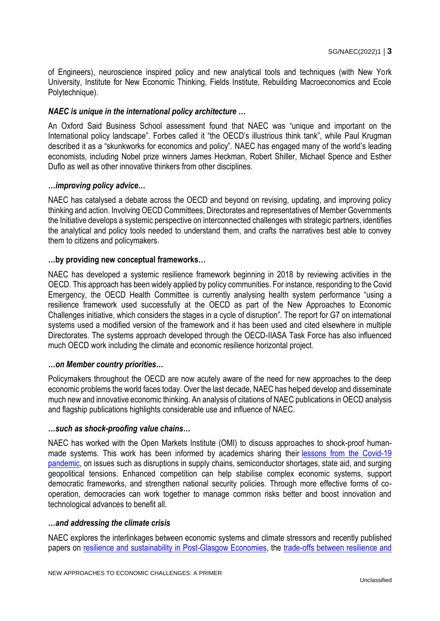of Engineers), neuroscience inspired policy and new analytical tools and techniques (with New York University, Institute for New Economic Thinking, Fields Institute, Rebuilding Macroeconomics and Ecole Polytechnique).

# *NAEC is unique in the international policy architecture …*

An Oxford Said Business School assessment found that NAEC was "unique and important on the International policy landscape". Forbes called it "the OECD's illustrious think tank", while Paul Krugman described it as a "skunkworks for economics and policy". NAEC has engaged many of the world's leading economists, including Nobel prize winners James Heckman, Robert Shiller, Michael Spence and Esther Duflo as well as other innovative thinkers from other disciplines.

#### *…improving policy advice…*

NAEC has catalysed a debate across the OECD and beyond on revising, updating, and improving policy thinking and action. Involving OECD Committees, Directorates and representatives of Member Governments the Initiative develops a systemic perspective on interconnected challenges with strategic partners, identifies the analytical and policy tools needed to understand them, and crafts the narratives best able to convey them to citizens and policymakers.

#### **…by providing new conceptual frameworks…**

NAEC has developed a systemic resilience framework beginning in 2018 by reviewing activities in the OECD. This approach has been widely applied by policy communities. For instance, responding to the Covid Emergency, the OECD Health Committee is currently analysing health system performance "using a resilience framework used successfully at the OECD as part of the New Approaches to Economic Challenges initiative, which considers the stages in a cycle of disruption". The report for G7 on international systems used a modified version of the framework and it has been used and cited elsewhere in multiple Directorates. The systems approach developed through the OECD-IIASA Task Force has also influenced much OECD work including the climate and economic resilience horizontal project.

#### *…on Member country priorities…*

Policymakers throughout the OECD are now acutely aware of the need for new approaches to the deep economic problems the world faces today. Over the last decade, NAEC has helped develop and disseminate much new and innovative economic thinking. An analysis of citations of NAEC publications in OECD analysis and flagship publications highlights considerable use and influence of NAEC.

#### *…such as shock-proofing value chains…*

NAEC has worked with the Open Markets Institute (OMI) to discuss approaches to shock-proof humanmade systems. This work has been informed by academics sharing their lessons from the Covid-19 [pandemic,](https://www.oecd.org/naec/exit-strategies-and-lessons-from-covid-19/) on issues such as disruptions in supply chains, semiconductor shortages, state aid, and surging geopolitical tensions. Enhanced competition can help stabilise complex economic systems, support democratic frameworks, and strengthen national security policies. Through more effective forms of cooperation, democracies can work together to manage common risks better and boost innovation and technological advances to benefit all.

#### *…and addressing the climate crisis*

NAEC explores the interlinkages between economic systems and climate stressors and recently published papers on [resilience and sustainability in Post-Glasgow Economies,](https://www.mdpi.com/2071-1050/13/23/13415) the [trade-offs between resilience and](https://www.nature.com/articles/s41560-021-00913-7?proof=t+target%3D)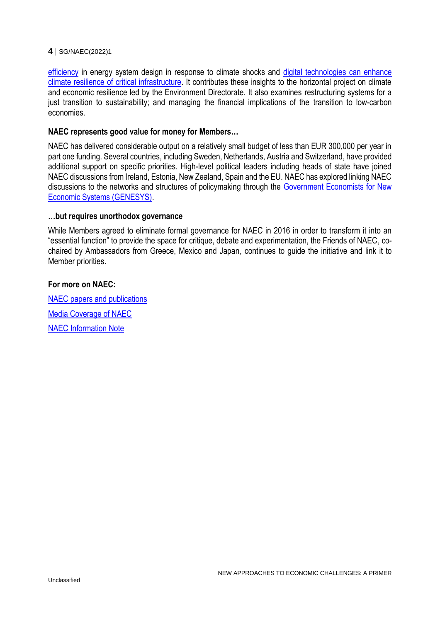[efficiency](https://www.nature.com/articles/s41560-021-00913-7?proof=t+target%3D) in energy system design in response to climate shocks and [digital technologies can enhance](https://www.sciencedirect.com/science/article/pii/S2212096321001169)  [climate resilience of critical infrastructure.](https://www.sciencedirect.com/science/article/pii/S2212096321001169) It contributes these insights to the horizontal project on climate and economic resilience led by the Environment Directorate. It also examines restructuring systems for a just transition to sustainability; and managing the financial implications of the transition to low-carbon economies.

#### **NAEC represents good value for money for Members…**

NAEC has delivered considerable output on a relatively small budget of less than EUR 300,000 per year in part one funding. Several countries, including Sweden, Netherlands, Austria and Switzerland, have provided additional support on specific priorities. High-level political leaders including heads of state have joined NAEC discussions from Ireland, Estonia, New Zealand, Spain and the EU. NAEC has explored linking NAEC discussions to the networks and structures of policymaking through the [Government Economists for New](http://www.oecd.org/naec/genesys)  [Economic Systems \(GENESYS\).](http://www.oecd.org/naec/genesys)

## **…but requires unorthodox governance**

While Members agreed to eliminate formal governance for NAEC in 2016 in order to transform it into an "essential function" to provide the space for critique, debate and experimentation, the Friends of NAEC, cochaired by Ambassadors from Greece, Mexico and Japan, continues to guide the initiative and link it to Member priorities.

#### **For more on NAEC:**

[NAEC papers and publications](https://www.oecd.org/naec/genesys/NAEC-papers-and-publications-since-2020.pdf) [Media Coverage of NAEC](https://www.oecd.org/naec/naec-in-the-news/) [NAEC Information Note](https://www.oecd.org/naec/genesys/Briefing-Note_New-Approaches-to-Economic-Challenges.pdf)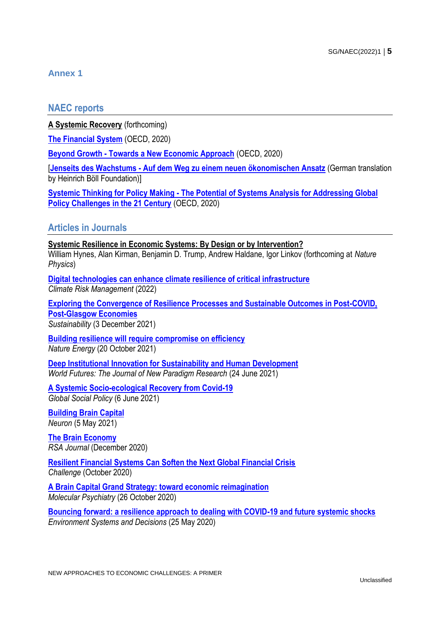# **Annex 1**

# **NAEC reports**

**A Systemic Recovery** (forthcoming)

**[The Financial System](https://www.oecd-ilibrary.org/finance-and-investment/the-financial-system_d45f979e-en)** (OECD, 2020)

**Beyond Growth - [Towards a New Economic Approach](https://www.oecd-ilibrary.org/economics/beyond-growth_33a25ba3-en)** (OECD, 2020)

[**Jenseits des Wachstums - [Auf dem Weg zu einem neuen ökonomischen Ansatz](https://www.boell.de/de/2021/02/01/jenseits-des-wachstums?dimension1=division_stift)** (German translation by Heinrich Böll Foundation)]

**Systemic Thinking for Policy Making - [The Potential of Systems Analysis for Addressing Global](https://www.oecd-ilibrary.org/governance/systemic-thinking-for-policy-making_879c4f7a-en)  [Policy Challenges in the 21 Century](https://www.oecd-ilibrary.org/governance/systemic-thinking-for-policy-making_879c4f7a-en)** (OECD, 2020)

# **Articles in Journals**

#### **Systemic Resilience in Economic Systems: By Design or by Intervention?**

William Hynes, Alan Kirman, Benjamin D. Trump, Andrew Haldane, Igor Linkov (forthcoming at *Nature Physics*)

**[Digital technologies can enhance climate resilience of critical infrastructure](https://reader.elsevier.com/reader/sd/pii/S2212096321001169?token=D27A96C50F362B183E87A8C5CE6F94D95FD7CE36BFC96A1A4943898412813A3D6F2889D1773837E5A084F5C5944AFB17&originRegion=eu-west-1&originCreation=20220105104009)** *Climate Risk Management* (2022)

**[Exploring the Convergence of Resilience Processes and Sustainable Outcomes in Post-COVID,](https://www.mdpi.com/2071-1050/13/23/13415)  [Post-Glasgow Economies](https://www.mdpi.com/2071-1050/13/23/13415)** *Sustainability* (3 December 2021)

**[Building resilience will require compromise on efficiency](https://www.nature.com/articles/s41560-021-00913-7)** *Nature Energy* (20 October 2021)

**[Deep Institutional Innovation for Sustainability and Human Development](https://doi.org/10.1080/02604027.2021.1929013)** *World Futures: The Journal of New Paradigm Research* (24 June 2021)

**[A Systemic Socio-ecological Recovery from Covid-19](https://journals.sagepub.com/eprint/SZS6XKQHVTGRVNDFVVYZ/full)** *Global Social Policy* (6 June 2021)

**[Building Brain Capital](https://www.oecd.org/naec/brain-capital/Neuron-Building-Brain-Capital.pdf)** *Neuron* (5 May 2021)

**[The Brain Economy](https://www.oecd.org/naec/naec-in-the-news/RSA_The_Brain_Economy.pdf)** *RSA Journal* (December 2020)

**[Resilient Financial Systems Can Soften the Next Global Financial Crisis](https://www.tandfonline.com/doi/full/10.1080/05775132.2020.1822660)** *Challenge* (October 2020)

**[A Brain Capital Grand Strategy: toward economic reimagination](https://www.nature.com/articles/s41380-020-00918-w#citeas)** *Molecular Psychiatry* (26 October 2020)

**[Bouncing forward: a resilience approach to dealing with COVID-19 and future systemic shocks](https://link.springer.com/article/10.1007/s10669-020-09776-x)** *Environment Systems and Decisions* (25 May 2020)